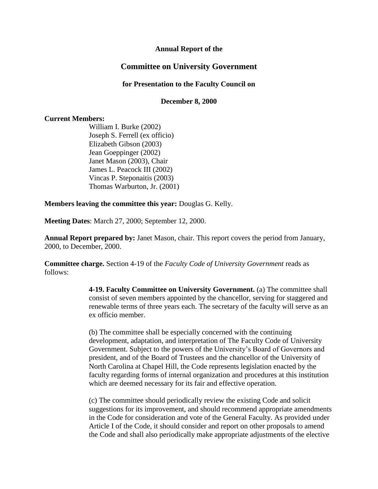### **Annual Report of the**

### **Committee on University Government**

#### **for Presentation to the Faculty Council on**

#### **December 8, 2000**

#### **Current Members:**

William I. Burke (2002) Joseph S. Ferrell (ex officio) Elizabeth Gibson (2003) Jean Goeppinger (2002) Janet Mason (2003), Chair James L. Peacock III (2002) Vincas P. Steponaitis (2003) Thomas Warburton, Jr. (2001)

#### **Members leaving the committee this year:** Douglas G. Kelly.

**Meeting Dates**: March 27, 2000; September 12, 2000.

**Annual Report prepared by:** Janet Mason, chair. This report covers the period from January, 2000, to December, 2000.

**Committee charge.** Section 4-19 of the *Faculty Code of University Government* reads as follows:

> **4-19. Faculty Committee on University Government.** (a) The committee shall consist of seven members appointed by the chancellor, serving for staggered and renewable terms of three years each. The secretary of the faculty will serve as an ex officio member.

> (b) The committee shall be especially concerned with the continuing development, adaptation, and interpretation of The Faculty Code of University Government. Subject to the powers of the University's Board of Governors and president, and of the Board of Trustees and the chancellor of the University of North Carolina at Chapel Hill, the Code represents legislation enacted by the faculty regarding forms of internal organization and procedures at this institution which are deemed necessary for its fair and effective operation.

(c) The committee should periodically review the existing Code and solicit suggestions for its improvement, and should recommend appropriate amendments in the Code for consideration and vote of the General Faculty. As provided under Article I of the Code, it should consider and report on other proposals to amend the Code and shall also periodically make appropriate adjustments of the elective